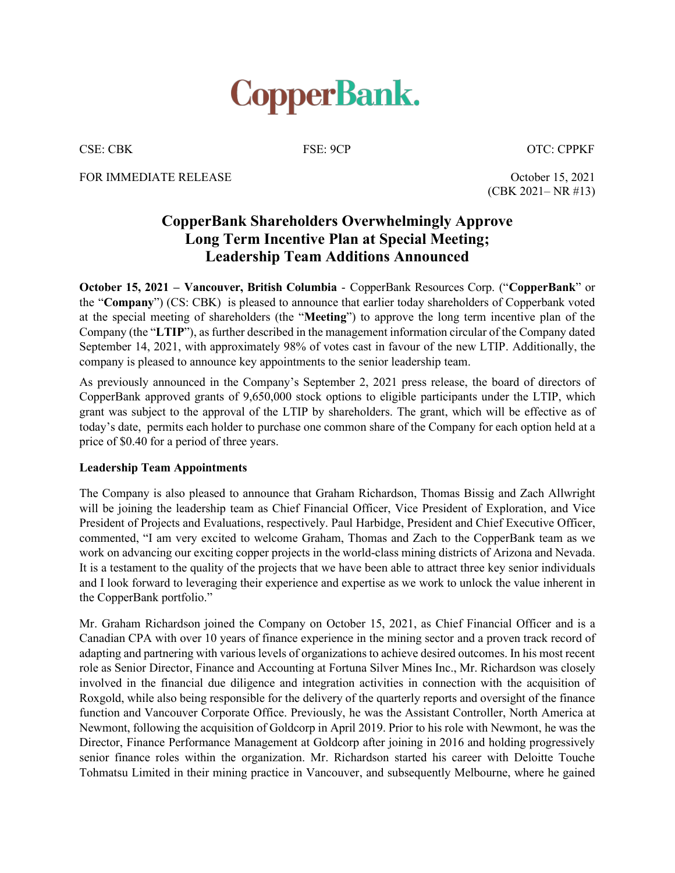

CSE: CBK FSE: 9CP OTC: CPPKF

FOR IMMEDIATE RELEASE **October 15, 2021**  $(CBK 2021 - NR #13)$ 

## **CopperBank Shareholders Overwhelmingly Approve Long Term Incentive Plan at Special Meeting; Leadership Team Additions Announced**

**October 15, 2021 – Vancouver, British Columbia - CopperBank Resources Corp. ("CopperBank" or** the "**Company**") (CS: CBK) is pleased to announce that earlier today shareholders of Copperbank voted at the special meeting of shareholders (the "**Meeting**") to approve the long term incentive plan of the Company (the "LTIP"), as further described in the management information circular of the Company dated September 14, 2021, with approximately 98% of votes cast in favour of the new LTIP. Additionally, the company is pleased to announce key appointments to the senior leadership team.

As previously announced in the Company's September 2, 2021 press release, the board of directors of CopperBank approved grants of 9,650,000 stock options to eligible participants under the LTIP, which grant was subject to the approval of the LTIP by shareholders. The grant, which will be effective as of today's date, permits each holder to purchase one common share of the Company for each option held at a price of \$0.40 for a period of three years.

## **Leadership Team Appointments**

The Company is also pleased to announce that Graham Richardson, Thomas Bissig and Zach Allwright will be joining the leadership team as Chief Financial Officer, Vice President of Exploration, and Vice President of Projects and Evaluations, respectively. Paul Harbidge, President and Chief Executive Officer, commented, "I am very excited to welcome Graham, Thomas and Zach to the CopperBank team as we work on advancing our exciting copper projects in the world-class mining districts of Arizona and Nevada. It is a testament to the quality of the projects that we have been able to attract three key senior individuals and I look forward to leveraging their experience and expertise as we work to unlock the value inherent in the CopperBank portfolio.´

Mr. Graham Richardson joined the Company on October 15, 2021, as Chief Financial Officer and is a Canadian CPA with over 10 years of finance experience in the mining sector and a proven track record of adapting and partnering with various levels of organizations to achieve desired outcomes. In his most recent role as Senior Director, Finance and Accounting at Fortuna Silver Mines Inc., Mr. Richardson was closely involved in the financial due diligence and integration activities in connection with the acquisition of Roxgold, while also being responsible for the delivery of the quarterly reports and oversight of the finance function and Vancouver Corporate Office. Previously, he was the Assistant Controller, North America at Newmont, following the acquisition of Goldcorp in April 2019. Prior to his role with Newmont, he was the Director, Finance Performance Management at Goldcorp after joining in 2016 and holding progressively senior finance roles within the organization. Mr. Richardson started his career with Deloitte Touche Tohmatsu Limited in their mining practice in Vancouver, and subsequently Melbourne, where he gained